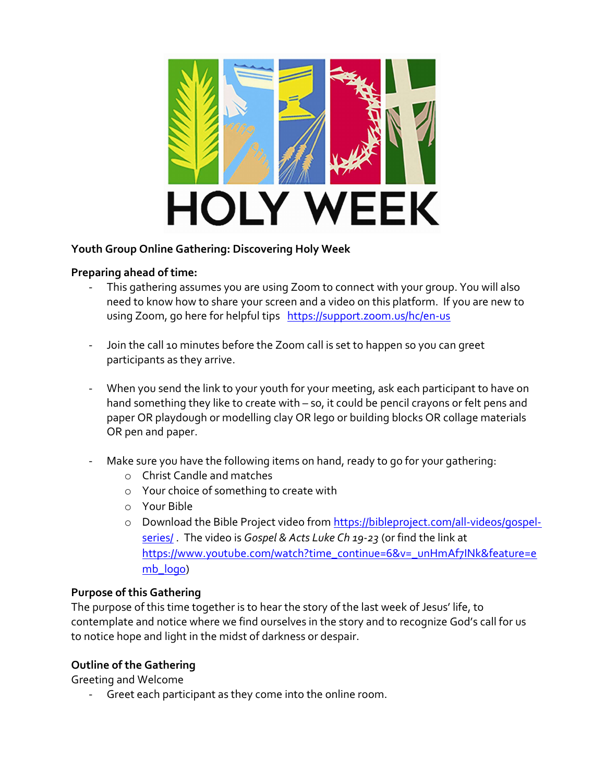

## Youth Group Online Gathering: Discovering Holy Week

### Preparing ahead of time:

- This gathering assumes you are using Zoom to connect with your group. You will also need to know how to share your screen and a video on this platform. If you are new to using Zoom, go here for helpful tips https://support.zoom.us/hc/en-us
- Join the call 10 minutes before the Zoom call is set to happen so you can greet participants as they arrive.
- When you send the link to your youth for your meeting, ask each participant to have on hand something they like to create with – so, it could be pencil crayons or felt pens and paper OR playdough or modelling clay OR lego or building blocks OR collage materials OR pen and paper.
- Make sure you have the following items on hand, ready to go for your gathering:
	- o Christ Candle and matches
	- o Your choice of something to create with
	- o Your Bible
	- o Download the Bible Project video from https://bibleproject.com/all-videos/gospelseries/ The video is Gospel & Acts Luke Ch 19-23 (or find the link at https://www.youtube.com/watch?time\_continue=6&v=\_unHmAf7INk&feature=e mb logo)

### Purpose of this Gathering

The purpose of this time together is to hear the story of the last week of Jesus' life, to contemplate and notice where we find ourselves in the story and to recognize God's call for us to notice hope and light in the midst of darkness or despair.

## Outline of the Gathering

Greeting and Welcome

Greet each participant as they come into the online room.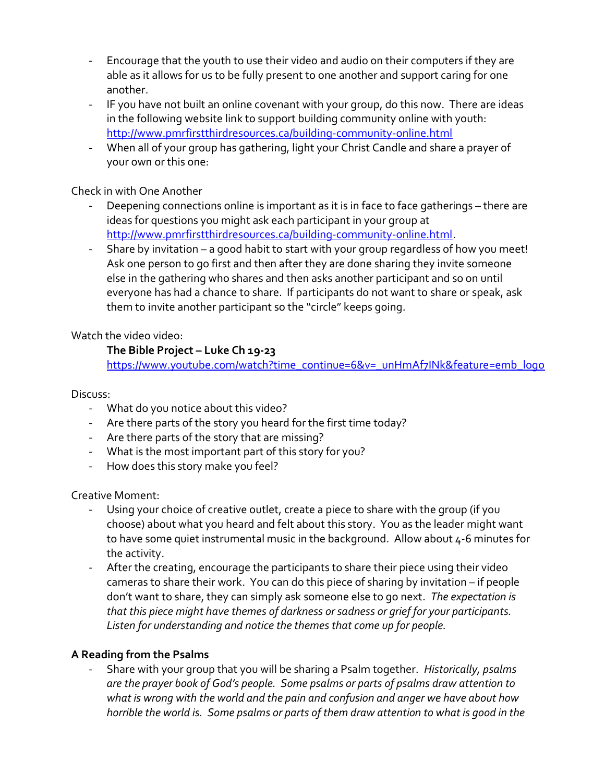- Encourage that the youth to use their video and audio on their computers if they are able as it allows for us to be fully present to one another and support caring for one another.
- IF you have not built an online covenant with your group, do this now. There are ideas in the following website link to support building community online with youth: http://www.pmrfirstthirdresources.ca/building-community-online.html
- When all of your group has gathering, light your Christ Candle and share a prayer of your own or this one:

## Check in with One Another

- Deepening connections online is important as it is in face to face gatherings there are ideas for questions you might ask each participant in your group at http://www.pmrfirstthirdresources.ca/building-community-online.html.
- Share by invitation a good habit to start with your group regardless of how you meet! Ask one person to go first and then after they are done sharing they invite someone else in the gathering who shares and then asks another participant and so on until everyone has had a chance to share. If participants do not want to share or speak, ask them to invite another participant so the "circle" keeps going.

Watch the video video:

## The Bible Project – Luke Ch 19-23

https://www.youtube.com/watch?time\_continue=6&v=\_unHmAf7INk&feature=emb\_logo

#### Discuss:

- What do you notice about this video?
- Are there parts of the story you heard for the first time today?
- Are there parts of the story that are missing?
- What is the most important part of this story for you?
- How does this story make you feel?

Creative Moment:

- Using your choice of creative outlet, create a piece to share with the group (if you choose) about what you heard and felt about this story. You as the leader might want to have some quiet instrumental music in the background. Allow about 4-6 minutes for the activity.
- After the creating, encourage the participants to share their piece using their video cameras to share their work. You can do this piece of sharing by invitation – if people don't want to share, they can simply ask someone else to go next. The expectation is that this piece might have themes of darkness or sadness or grief for your participants. Listen for understanding and notice the themes that come up for people.

## A Reading from the Psalms

Share with your group that you will be sharing a Psalm together. Historically, psalms are the prayer book of God's people. Some psalms or parts of psalms draw attention to what is wrong with the world and the pain and confusion and anger we have about how horrible the world is. Some psalms or parts of them draw attention to what is good in the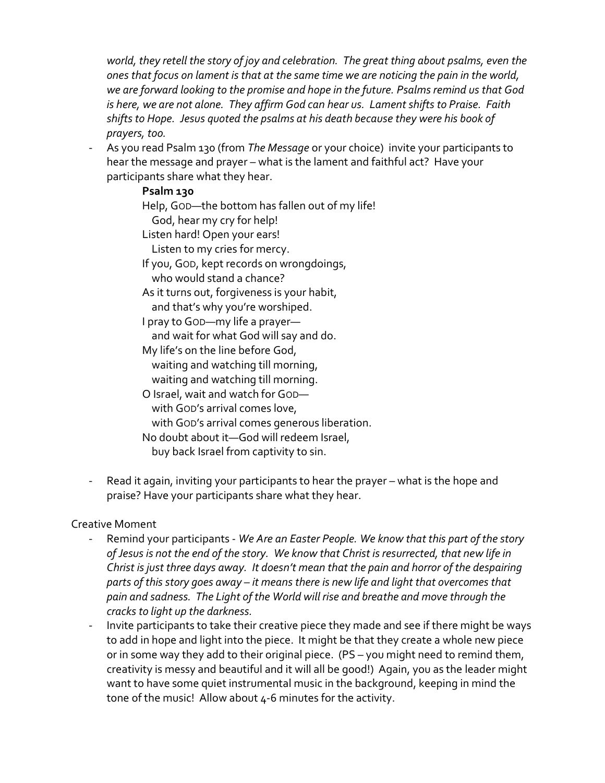world, they retell the story of joy and celebration. The great thing about psalms, even the ones that focus on lament is that at the same time we are noticing the pain in the world, we are forward looking to the promise and hope in the future. Psalms remind us that God is here, we are not alone. They affirm God can hear us. Lament shifts to Praise. Faith shifts to Hope. Jesus quoted the psalms at his death because they were his book of prayers, too.

As you read Psalm 130 (from The Message or your choice) invite your participants to hear the message and prayer – what is the lament and faithful act? Have your participants share what they hear.

### Psalm 130

Help, GOD—the bottom has fallen out of my life! God, hear my cry for help! Listen hard! Open your ears! Listen to my cries for mercy. If you, GOD, kept records on wrongdoings, who would stand a chance? As it turns out, forgiveness is your habit, and that's why you're worshiped. I pray to GOD—my life a prayer and wait for what God will say and do. My life's on the line before God, waiting and watching till morning, waiting and watching till morning. O Israel, wait and watch for GOD with GOD's arrival comes love, with GOD's arrival comes generous liberation. No doubt about it—God will redeem Israel, buy back Israel from captivity to sin.

Read it again, inviting your participants to hear the prayer – what is the hope and praise? Have your participants share what they hear.

### Creative Moment

- Remind your participants We Are an Easter People. We know that this part of the story of Jesus is not the end of the story. We know that Christ is resurrected, that new life in Christ is just three days away. It doesn't mean that the pain and horror of the despairing parts of this story goes away – it means there is new life and light that overcomes that pain and sadness. The Light of the World will rise and breathe and move through the cracks to light up the darkness.
- Invite participants to take their creative piece they made and see if there might be ways to add in hope and light into the piece. It might be that they create a whole new piece or in some way they add to their original piece. (PS – you might need to remind them, creativity is messy and beautiful and it will all be good!) Again, you as the leader might want to have some quiet instrumental music in the background, keeping in mind the tone of the music! Allow about 4-6 minutes for the activity.